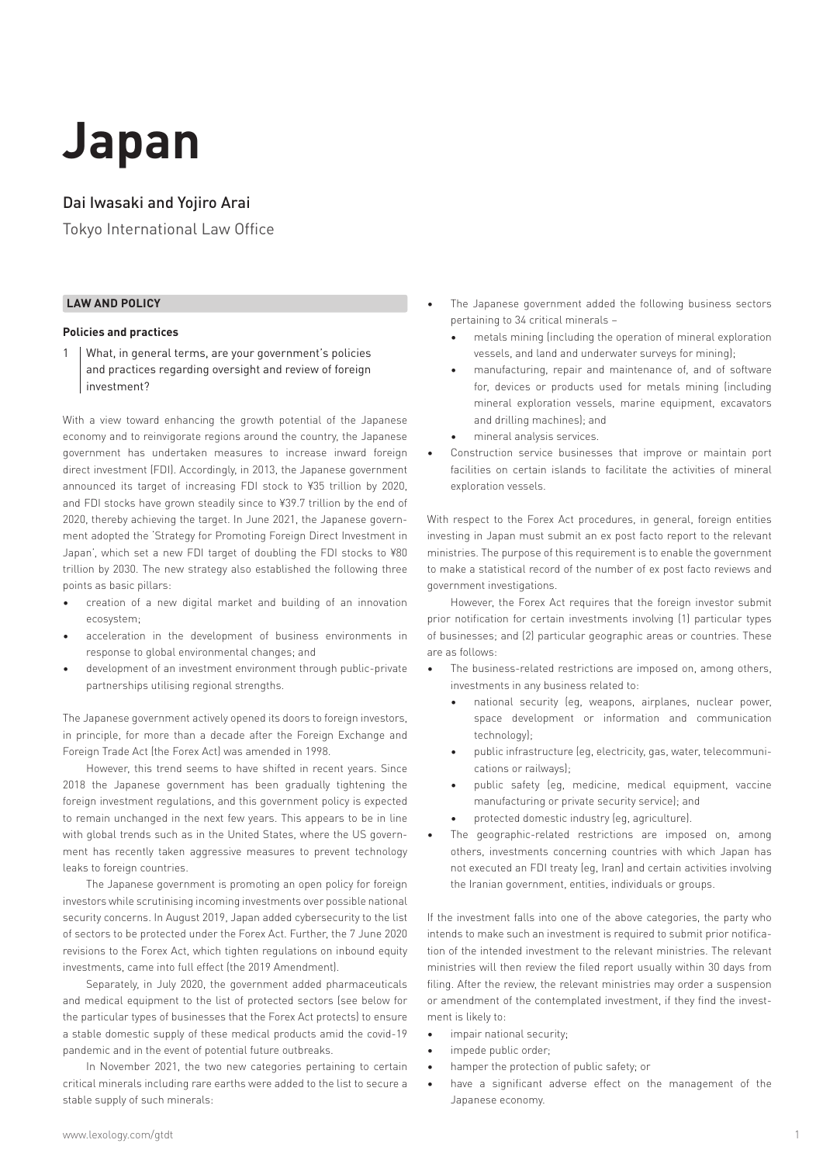# **Japan**

# Dai Iwasaki and Yojiro Arai

Tokyo International Law Office

# **LAW AND POLICY**

#### **Policies and practices**

1 What, in general terms, are your government's policies and practices regarding oversight and review of foreign investment?

With a view toward enhancing the growth potential of the Japanese economy and to reinvigorate regions around the country, the Japanese government has undertaken measures to increase inward foreign direct investment (FDI). Accordingly, in 2013, the Japanese government announced its target of increasing FDI stock to ¥35 trillion by 2020, and FDI stocks have grown steadily since to ¥39.7 trillion by the end of 2020, thereby achieving the target. In June 2021, the Japanese government adopted the 'Strategy for Promoting Foreign Direct Investment in Japan', which set a new FDI target of doubling the FDI stocks to ¥80 trillion by 2030. The new strategy also established the following three points as basic pillars:

- creation of a new digital market and building of an innovation ecosystem;
- acceleration in the development of business environments in response to global environmental changes; and
- development of an investment environment through public-private partnerships utilising regional strengths.

The Japanese government actively opened its doors to foreign investors, in principle, for more than a decade after the Foreign Exchange and Foreign Trade Act (the Forex Act) was amended in 1998.

However, this trend seems to have shifted in recent years. Since 2018 the Japanese government has been gradually tightening the foreign investment regulations, and this government policy is expected to remain unchanged in the next few years. This appears to be in line with global trends such as in the United States, where the US government has recently taken aggressive measures to prevent technology leaks to foreign countries.

The Japanese government is promoting an open policy for foreign investors while scrutinising incoming investments over possible national security concerns. In August 2019, Japan added cybersecurity to the list of sectors to be protected under the Forex Act. Further, the 7 June 2020 revisions to the Forex Act, which tighten regulations on inbound equity investments, came into full effect (the 2019 Amendment).

Separately, in July 2020, the government added pharmaceuticals and medical equipment to the list of protected sectors (see below for the particular types of businesses that the Forex Act protects) to ensure a stable domestic supply of these medical products amid the covid-19 pandemic and in the event of potential future outbreaks.

In November 2021, the two new categories pertaining to certain critical minerals including rare earths were added to the list to secure a stable supply of such minerals:

- The Japanese government added the following business sectors pertaining to 34 critical minerals –
	- metals mining (including the operation of mineral exploration vessels, and land and underwater surveys for mining);
	- manufacturing, repair and maintenance of, and of software for, devices or products used for metals mining (including mineral exploration vessels, marine equipment, excavators and drilling machines); and
	- mineral analysis services.
- Construction service businesses that improve or maintain port facilities on certain islands to facilitate the activities of mineral exploration vessels.

With respect to the Forex Act procedures, in general, foreign entities investing in Japan must submit an ex post facto report to the relevant ministries. The purpose of this requirement is to enable the government to make a statistical record of the number of ex post facto reviews and government investigations.

However, the Forex Act requires that the foreign investor submit prior notification for certain investments involving (1) particular types of businesses; and (2) particular geographic areas or countries. These are as follows:

- The business-related restrictions are imposed on, among others, investments in any business related to:
	- national security (eg, weapons, airplanes, nuclear power, space development or information and communication technology);
	- public infrastructure (eg, electricity, gas, water, telecommunications or railways);
	- public safety (eg, medicine, medical equipment, vaccine manufacturing or private security service); and
	- protected domestic industry (eg, agriculture).
- The geographic-related restrictions are imposed on, among others, investments concerning countries with which Japan has not executed an FDI treaty (eg, Iran) and certain activities involving the Iranian government, entities, individuals or groups.

If the investment falls into one of the above categories, the party who intends to make such an investment is required to submit prior notification of the intended investment to the relevant ministries. The relevant ministries will then review the filed report usually within 30 days from filing. After the review, the relevant ministries may order a suspension or amendment of the contemplated investment, if they find the investment is likely to:

- impair national security;
- impede public order;
- hamper the protection of public safety; or
- have a significant adverse effect on the management of the Japanese economy.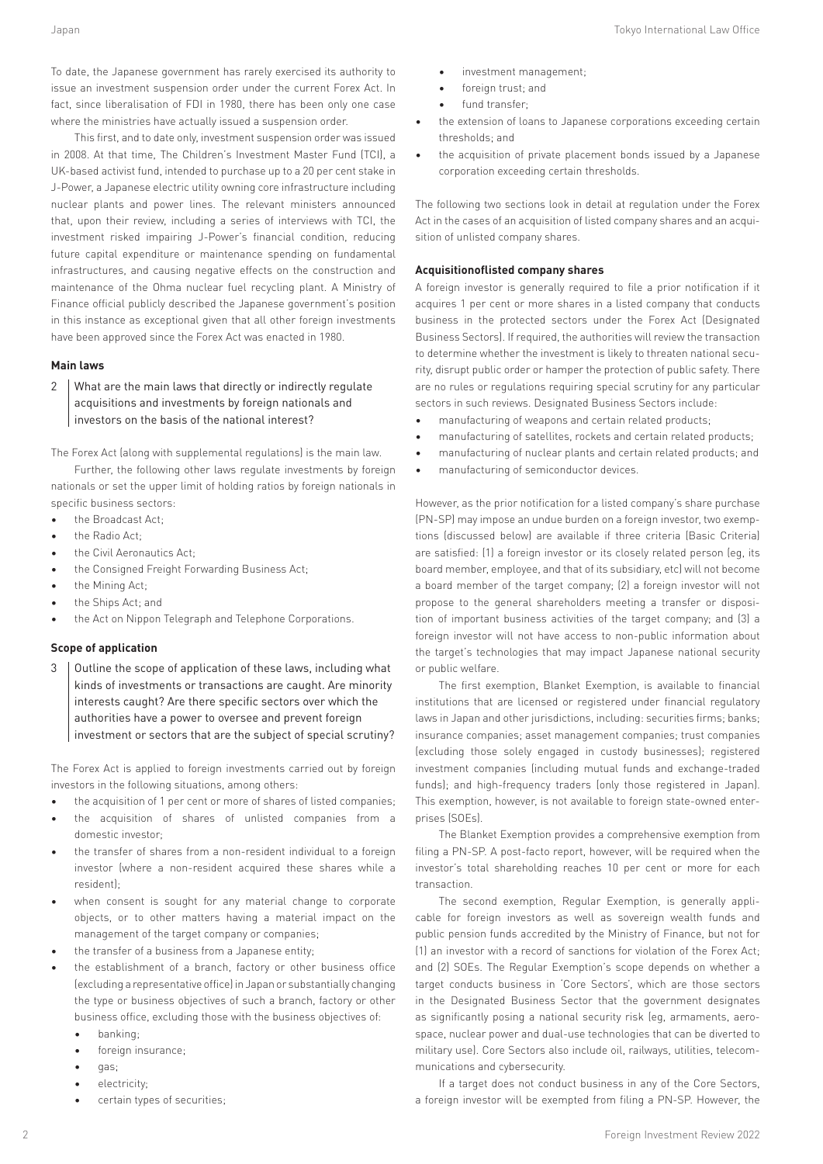To date, the Japanese government has rarely exercised its authority to issue an investment suspension order under the current Forex Act. In fact, since liberalisation of FDI in 1980, there has been only one case where the ministries have actually issued a suspension order.

This first, and to date only, investment suspension order was issued in 2008. At that time, The Children's Investment Master Fund (TCI), a UK-based activist fund, intended to purchase up to a 20 per cent stake in J-Power, a Japanese electric utility owning core infrastructure including nuclear plants and power lines. The relevant ministers announced that, upon their review, including a series of interviews with TCI, the investment risked impairing J-Power's financial condition, reducing future capital expenditure or maintenance spending on fundamental infrastructures, and causing negative effects on the construction and maintenance of the Ohma nuclear fuel recycling plant. A Ministry of Finance official publicly described the Japanese government's position in this instance as exceptional given that all other foreign investments have been approved since the Forex Act was enacted in 1980.

# **Main laws**

2 What are the main laws that directly or indirectly regulate acquisitions and investments by foreign nationals and investors on the basis of the national interest?

The Forex Act (along with supplemental regulations) is the main law.

Further, the following other laws regulate investments by foreign nationals or set the upper limit of holding ratios by foreign nationals in specific business sectors:

- the Broadcast Act;
- the Radio Act;
- the Civil Aeronautics Act;
- the Consigned Freight Forwarding Business Act;
- the Mining Act;
- the Ships Act; and
- the Act on Nippon Telegraph and Telephone Corporations.

# **Scope of application**

3 | Outline the scope of application of these laws, including what kinds of investments or transactions are caught. Are minority interests caught? Are there specific sectors over which the authorities have a power to oversee and prevent foreign investment or sectors that are the subject of special scrutiny?

The Forex Act is applied to foreign investments carried out by foreign investors in the following situations, among others:

- the acquisition of 1 per cent or more of shares of listed companies;
- the acquisition of shares of unlisted companies from a domestic investor;
- the transfer of shares from a non-resident individual to a foreign investor (where a non-resident acquired these shares while a resident);
- when consent is sought for any material change to corporate objects, or to other matters having a material impact on the management of the target company or companies;
- the transfer of a business from a Japanese entity;
- the establishment of a branch, factory or other business office (excluding a representative office) in Japan or substantially changing the type or business objectives of such a branch, factory or other business office, excluding those with the business objectives of:
	- banking;
	- foreign insurance;
	- gas;
	- electricity;
	- certain types of securities;
- investment management;
- foreign trust; and
- fund transfer;
- the extension of loans to Japanese corporations exceeding certain thresholds; and
- the acquisition of private placement bonds issued by a Japanese corporation exceeding certain thresholds.

The following two sections look in detail at regulation under the Forex Act in the cases of an acquisition of listed company shares and an acquisition of unlisted company shares.

#### **Acquisitionoflisted company shares**

A foreign investor is generally required to file a prior notification if it acquires 1 per cent or more shares in a listed company that conducts business in the protected sectors under the Forex Act (Designated Business Sectors). If required, the authorities will review the transaction to determine whether the investment is likely to threaten national security, disrupt public order or hamper the protection of public safety. There are no rules or regulations requiring special scrutiny for any particular sectors in such reviews. Designated Business Sectors include:

- manufacturing of weapons and certain related products;
- manufacturing of satellites, rockets and certain related products;
- manufacturing of nuclear plants and certain related products; and
- manufacturing of semiconductor devices.

However, as the prior notification for a listed company's share purchase (PN-SP) may impose an undue burden on a foreign investor, two exemptions (discussed below) are available if three criteria (Basic Criteria) are satisfied: (1) a foreign investor or its closely related person (eg, its board member, employee, and that of its subsidiary, etc) will not become a board member of the target company; (2) a foreign investor will not propose to the general shareholders meeting a transfer or disposition of important business activities of the target company; and (3) a foreign investor will not have access to non-public information about the target's technologies that may impact Japanese national security or public welfare.

The first exemption, Blanket Exemption, is available to financial institutions that are licensed or registered under financial regulatory laws in Japan and other jurisdictions, including: securities firms; banks; insurance companies; asset management companies; trust companies (excluding those solely engaged in custody businesses); registered investment companies (including mutual funds and exchange-traded funds); and high-frequency traders (only those registered in Japan). This exemption, however, is not available to foreign state-owned enterprises (SOEs).

The Blanket Exemption provides a comprehensive exemption from filing a PN-SP. A post-facto report, however, will be required when the investor's total shareholding reaches 10 per cent or more for each transaction.

The second exemption, Regular Exemption, is generally applicable for foreign investors as well as sovereign wealth funds and public pension funds accredited by the Ministry of Finance, but not for (1) an investor with a record of sanctions for violation of the Forex Act; and (2) SOEs. The Regular Exemption's scope depends on whether a target conducts business in 'Core Sectors', which are those sectors in the Designated Business Sector that the government designates as significantly posing a national security risk (eg, armaments, aerospace, nuclear power and dual-use technologies that can be diverted to military use). Core Sectors also include oil, railways, utilities, telecommunications and cybersecurity.

If a target does not conduct business in any of the Core Sectors, a foreign investor will be exempted from filing a PN-SP. However, the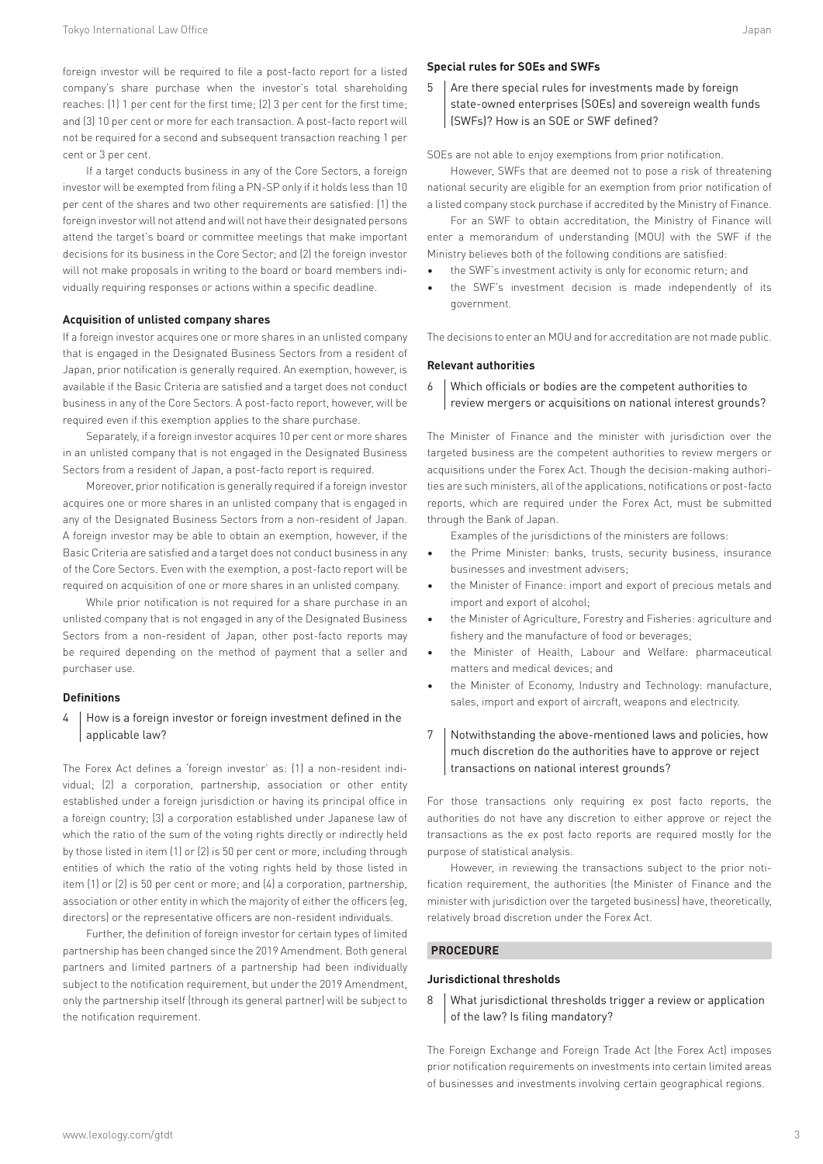foreign investor will be required to file a post-facto report for a listed company's share purchase when the investor's total shareholding reaches: (1) 1 per cent for the first time; (2) 3 per cent for the first time; and (3) 10 per cent or more for each transaction. A post-facto report will not be required for a second and subsequent transaction reaching 1 per cent or 3 per cent.

If a target conducts business in any of the Core Sectors, a foreign investor will be exempted from filing a PN-SP only if it holds less than 10 per cent of the shares and two other requirements are satisfied: (1) the foreign investor will not attend and will not have their designated persons attend the target's board or committee meetings that make important decisions for its business in the Core Sector; and (2) the foreign investor will not make proposals in writing to the board or board members individually requiring responses or actions within a specific deadline.

#### **Acquisition of unlisted company shares**

If a foreign investor acquires one or more shares in an unlisted company that is engaged in the Designated Business Sectors from a resident of Japan, prior notification is generally required. An exemption, however, is available if the Basic Criteria are satisfied and a target does not conduct business in any of the Core Sectors. A post-facto report, however, will be required even if this exemption applies to the share purchase.

Separately, if a foreign investor acquires 10 per cent or more shares in an unlisted company that is not engaged in the Designated Business Sectors from a resident of Japan, a post-facto report is required.

Moreover, prior notification is generally required if a foreign investor acquires one or more shares in an unlisted company that is engaged in any of the Designated Business Sectors from a non-resident of Japan. A foreign investor may be able to obtain an exemption, however, if the Basic Criteria are satisfied and a target does not conduct business in any of the Core Sectors. Even with the exemption, a post-facto report will be required on acquisition of one or more shares in an unlisted company.

While prior notification is not required for a share purchase in an unlisted company that is not engaged in any of the Designated Business Sectors from a non-resident of Japan, other post-facto reports may be required depending on the method of payment that a seller and purchaser use.

#### **Definitions**

# 4 How is a foreign investor or foreign investment defined in the applicable law?

The Forex Act defines a 'foreign investor' as: (1) a non-resident individual; (2) a corporation, partnership, association or other entity established under a foreign jurisdiction or having its principal office in a foreign country; (3) a corporation established under Japanese law of which the ratio of the sum of the voting rights directly or indirectly held by those listed in item (1) or (2) is 50 per cent or more, including through entities of which the ratio of the voting rights held by those listed in item (1) or (2) is 50 per cent or more; and (4) a corporation, partnership, association or other entity in which the majority of either the officers (eg, directors) or the representative officers are non-resident individuals.

Further, the definition of foreign investor for certain types of limited partnership has been changed since the 2019 Amendment. Both general partners and limited partners of a partnership had been individually subject to the notification requirement, but under the 2019 Amendment, only the partnership itself (through its general partner) will be subject to the notification requirement.

# **Special rules for SOEs and SWFs**

 $5$  Are there special rules for investments made by foreign state-owned enterprises (SOEs) and sovereign wealth funds (SWFs)? How is an SOE or SWF defined?

SOEs are not able to enjoy exemptions from prior notification.

However, SWFs that are deemed not to pose a risk of threatening national security are eligible for an exemption from prior notification of a listed company stock purchase if accredited by the Ministry of Finance.

For an SWF to obtain accreditation, the Ministry of Finance will enter a memorandum of understanding (MOU) with the SWF if the Ministry believes both of the following conditions are satisfied:

- the SWF's investment activity is only for economic return; and
- the SWF's investment decision is made independently of its government.

The decisions to enter an MOU and for accreditation are not made public.

#### **Relevant authorities**

6 Which officials or bodies are the competent authorities to review mergers or acquisitions on national interest grounds?

The Minister of Finance and the minister with jurisdiction over the targeted business are the competent authorities to review mergers or acquisitions under the Forex Act. Though the decision-making authorities are such ministers, all of the applications, notifications or post-facto reports, which are required under the Forex Act, must be submitted through the Bank of Japan.

Examples of the jurisdictions of the ministers are follows:

- the Prime Minister: banks, trusts, security business, insurance businesses and investment advisers;
- the Minister of Finance: import and export of precious metals and import and export of alcohol;
- the Minister of Agriculture, Forestry and Fisheries: agriculture and fishery and the manufacture of food or beverages;
- the Minister of Health, Labour and Welfare: pharmaceutical matters and medical devices; and
- the Minister of Economy, Industry and Technology: manufacture, sales, import and export of aircraft, weapons and electricity.
- 7 | Notwithstanding the above-mentioned laws and policies, how much discretion do the authorities have to approve or reject transactions on national interest grounds?

For those transactions only requiring ex post facto reports, the authorities do not have any discretion to either approve or reject the transactions as the ex post facto reports are required mostly for the purpose of statistical analysis.

However, in reviewing the transactions subject to the prior notification requirement, the authorities (the Minister of Finance and the minister with jurisdiction over the targeted business) have, theoretically, relatively broad discretion under the Forex Act.

# **PROCEDURE**

# **Jurisdictional thresholds**

8 | What jurisdictional thresholds trigger a review or application of the law? Is filing mandatory?

The Foreign Exchange and Foreign Trade Act (the Forex Act) imposes prior notification requirements on investments into certain limited areas of businesses and investments involving certain geographical regions.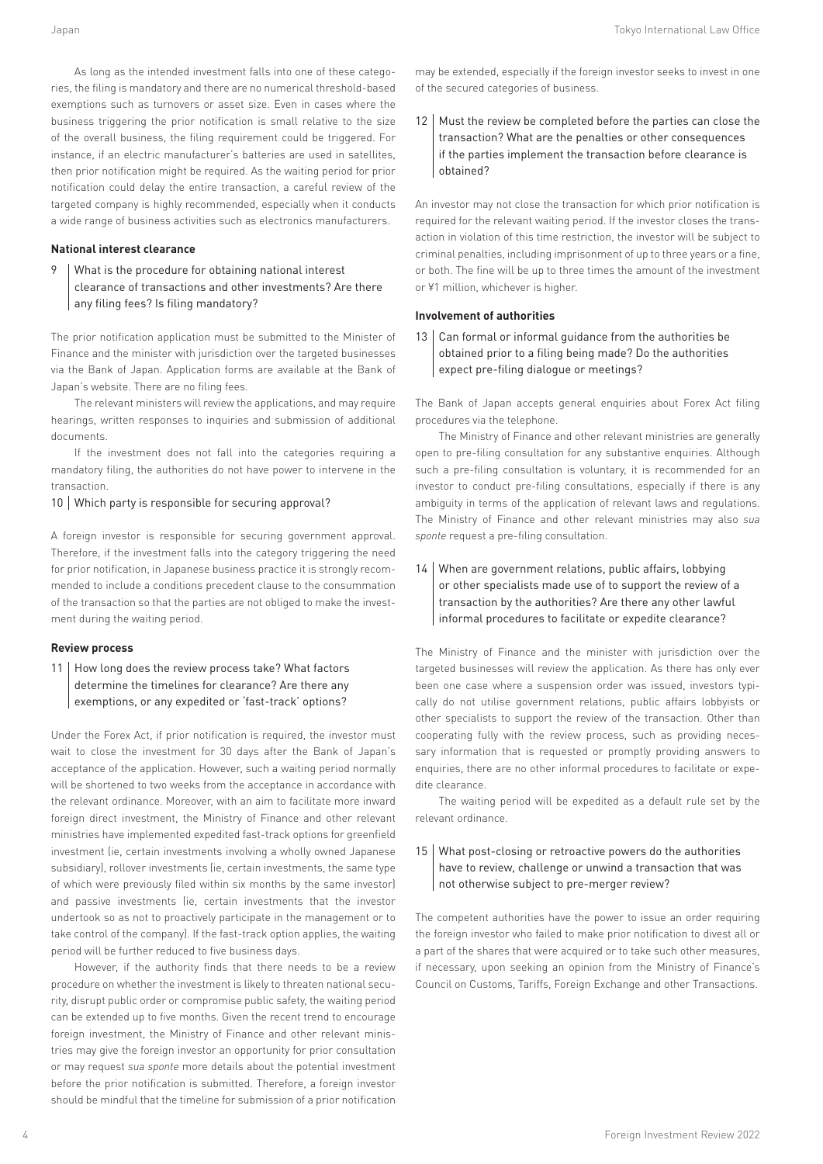As long as the intended investment falls into one of these categories, the filing is mandatory and there are no numerical threshold-based exemptions such as turnovers or asset size. Even in cases where the business triggering the prior notification is small relative to the size of the overall business, the filing requirement could be triggered. For instance, if an electric manufacturer's batteries are used in satellites, then prior notification might be required. As the waiting period for prior notification could delay the entire transaction, a careful review of the targeted company is highly recommended, especially when it conducts a wide range of business activities such as electronics manufacturers.

# **National interest clearance**

9 | What is the procedure for obtaining national interest clearance of transactions and other investments? Are there any filing fees? Is filing mandatory?

The prior notification application must be submitted to the Minister of Finance and the minister with jurisdiction over the targeted businesses via the Bank of Japan. Application forms are available at the Bank of Japan's website. There are no filing fees.

The relevant ministers will review the applications, and may require hearings, written responses to inquiries and submission of additional documents.

If the investment does not fall into the categories requiring a mandatory filing, the authorities do not have power to intervene in the transaction.

10 Which party is responsible for securing approval?

A foreign investor is responsible for securing government approval. Therefore, if the investment falls into the category triggering the need for prior notification, in Japanese business practice it is strongly recommended to include a conditions precedent clause to the consummation of the transaction so that the parties are not obliged to make the investment during the waiting period.

# **Review process**

11 | How long does the review process take? What factors determine the timelines for clearance? Are there any exemptions, or any expedited or 'fast-track' options?

Under the Forex Act, if prior notification is required, the investor must wait to close the investment for 30 days after the Bank of Japan's acceptance of the application. However, such a waiting period normally will be shortened to two weeks from the acceptance in accordance with the relevant ordinance. Moreover, with an aim to facilitate more inward foreign direct investment, the Ministry of Finance and other relevant ministries have implemented expedited fast-track options for greenfield investment (ie, certain investments involving a wholly owned Japanese subsidiary), rollover investments (ie, certain investments, the same type of which were previously filed within six months by the same investor) and passive investments (ie, certain investments that the investor undertook so as not to proactively participate in the management or to take control of the company). If the fast-track option applies, the waiting period will be further reduced to five business days.

However, if the authority finds that there needs to be a review procedure on whether the investment is likely to threaten national security, disrupt public order or compromise public safety, the waiting period can be extended up to five months. Given the recent trend to encourage foreign investment, the Ministry of Finance and other relevant ministries may give the foreign investor an opportunity for prior consultation or may request *sua sponte* more details about the potential investment before the prior notification is submitted. Therefore, a foreign investor should be mindful that the timeline for submission of a prior notification

may be extended, especially if the foreign investor seeks to invest in one of the secured categories of business.

12 Must the review be completed before the parties can close the transaction? What are the penalties or other consequences if the parties implement the transaction before clearance is obtained?

An investor may not close the transaction for which prior notification is required for the relevant waiting period. If the investor closes the transaction in violation of this time restriction, the investor will be subject to criminal penalties, including imprisonment of up to three years or a fine, or both. The fine will be up to three times the amount of the investment or ¥1 million, whichever is higher.

# **Involvement of authorities**

13 Can formal or informal quidance from the authorities be obtained prior to a filing being made? Do the authorities expect pre-filing dialogue or meetings?

The Bank of Japan accepts general enquiries about Forex Act filing procedures via the telephone.

The Ministry of Finance and other relevant ministries are generally open to pre-filing consultation for any substantive enquiries. Although such a pre-filing consultation is voluntary, it is recommended for an investor to conduct pre-filing consultations, especially if there is any ambiguity in terms of the application of relevant laws and regulations. The Ministry of Finance and other relevant ministries may also *sua sponte* request a pre-filing consultation.

# 14 When are government relations, public affairs, lobbying or other specialists made use of to support the review of a transaction by the authorities? Are there any other lawful informal procedures to facilitate or expedite clearance?

The Ministry of Finance and the minister with jurisdiction over the targeted businesses will review the application. As there has only ever been one case where a suspension order was issued, investors typically do not utilise government relations, public affairs lobbyists or other specialists to support the review of the transaction. Other than cooperating fully with the review process, such as providing necessary information that is requested or promptly providing answers to enquiries, there are no other informal procedures to facilitate or expedite clearance.

The waiting period will be expedited as a default rule set by the relevant ordinance.

# 15 What post-closing or retroactive powers do the authorities have to review, challenge or unwind a transaction that was not otherwise subject to pre-merger review?

The competent authorities have the power to issue an order requiring the foreign investor who failed to make prior notification to divest all or a part of the shares that were acquired or to take such other measures, if necessary, upon seeking an opinion from the Ministry of Finance's Council on Customs, Tariffs, Foreign Exchange and other Transactions.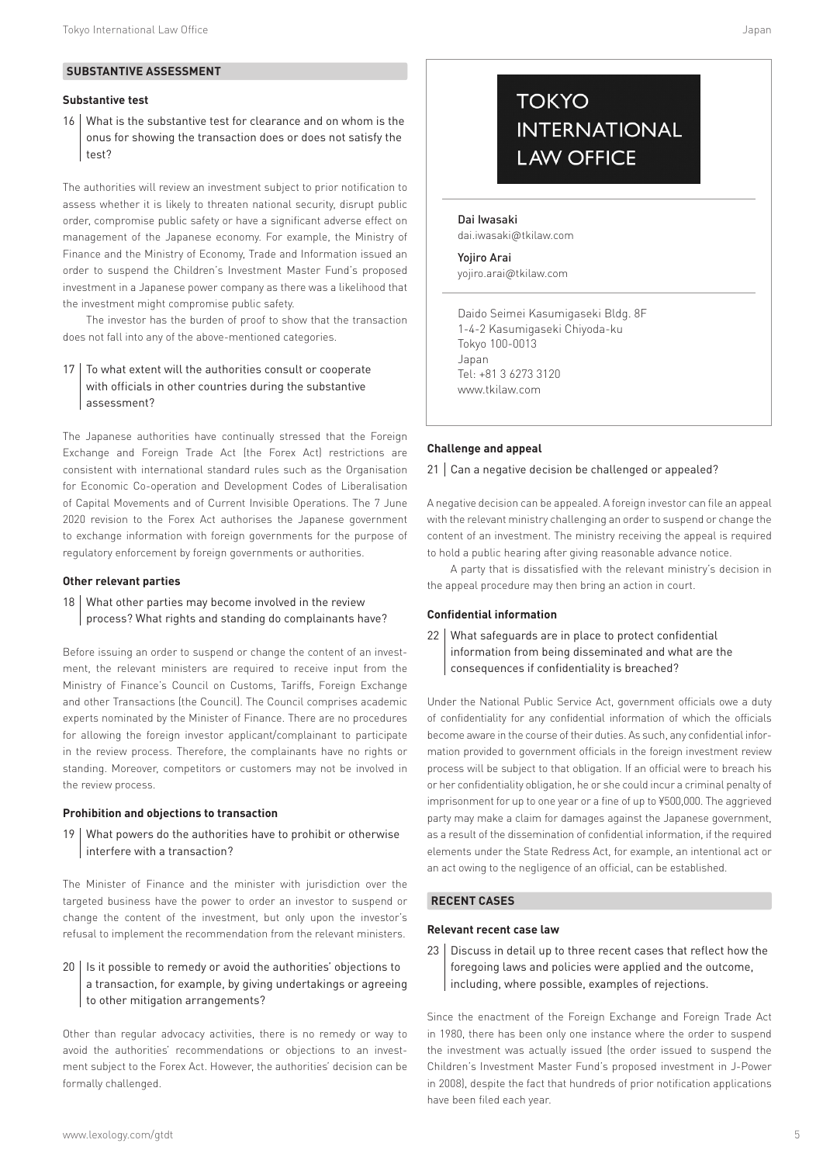# **SUBSTANTIVE ASSESSMENT**

# **Substantive test**

16 What is the substantive test for clearance and on whom is the onus for showing the transaction does or does not satisfy the test?

The authorities will review an investment subject to prior notification to assess whether it is likely to threaten national security, disrupt public order, compromise public safety or have a significant adverse effect on management of the Japanese economy. For example, the Ministry of Finance and the Ministry of Economy, Trade and Information issued an order to suspend the Children's Investment Master Fund's proposed investment in a Japanese power company as there was a likelihood that the investment might compromise public safety.

The investor has the burden of proof to show that the transaction does not fall into any of the above-mentioned categories.

# 17 | To what extent will the authorities consult or cooperate with officials in other countries during the substantive assessment?

The Japanese authorities have continually stressed that the Foreign Exchange and Foreign Trade Act (the Forex Act) restrictions are consistent with international standard rules such as the Organisation for Economic Co-operation and Development Codes of Liberalisation of Capital Movements and of Current Invisible Operations. The 7 June 2020 revision to the Forex Act authorises the Japanese government to exchange information with foreign governments for the purpose of regulatory enforcement by foreign governments or authorities.

# **Other relevant parties**

# 18 What other parties may become involved in the review process? What rights and standing do complainants have?

Before issuing an order to suspend or change the content of an investment, the relevant ministers are required to receive input from the Ministry of Finance's Council on Customs, Tariffs, Foreign Exchange and other Transactions (the Council). The Council comprises academic experts nominated by the Minister of Finance. There are no procedures for allowing the foreign investor applicant/complainant to participate in the review process. Therefore, the complainants have no rights or standing. Moreover, competitors or customers may not be involved in the review process.

# **Prohibition and objections to transaction**

19 | What powers do the authorities have to prohibit or otherwise interfere with a transaction?

The Minister of Finance and the minister with jurisdiction over the targeted business have the power to order an investor to suspend or change the content of the investment, but only upon the investor's refusal to implement the recommendation from the relevant ministers.

# $20$  | Is it possible to remedy or avoid the authorities' objections to a transaction, for example, by giving undertakings or agreeing to other mitigation arrangements?

Other than regular advocacy activities, there is no remedy or way to avoid the authorities' recommendations or objections to an investment subject to the Forex Act. However, the authorities' decision can be formally challenged.

# **TOKYO INTERNATIONAL LAW OFFICE**

Dai Iwasaki dai.iwasaki@tkilaw.com

Yojiro Arai yojiro.arai@tkilaw.com

Daido Seimei Kasumigaseki Bldg. 8F 1-4-2 Kasumigaseki Chiyoda-ku Tokyo 100-0013 Japan Tel: +81 3 6273 3120 www.tkilaw.com

# **Challenge and appeal**

# 21 | Can a negative decision be challenged or appealed?

A negative decision can be appealed. A foreign investor can file an appeal with the relevant ministry challenging an order to suspend or change the content of an investment. The ministry receiving the appeal is required to hold a public hearing after giving reasonable advance notice.

A party that is dissatisfied with the relevant ministry's decision in the appeal procedure may then bring an action in court.

#### **Confidential information**

22 | What safeguards are in place to protect confidential information from being disseminated and what are the consequences if confidentiality is breached?

Under the National Public Service Act, government officials owe a duty of confidentiality for any confidential information of which the officials become aware in the course of their duties. As such, any confidential information provided to government officials in the foreign investment review process will be subject to that obligation. If an official were to breach his or her confidentiality obligation, he or she could incur a criminal penalty of imprisonment for up to one year or a fine of up to ¥500,000. The aggrieved party may make a claim for damages against the Japanese government, as a result of the dissemination of confidential information, if the required elements under the State Redress Act, for example, an intentional act or an act owing to the negligence of an official, can be established.

# **RECENT CASES**

#### **Relevant recent case law**

23 | Discuss in detail up to three recent cases that reflect how the foregoing laws and policies were applied and the outcome, including, where possible, examples of rejections.

Since the enactment of the Foreign Exchange and Foreign Trade Act in 1980, there has been only one instance where the order to suspend the investment was actually issued (the order issued to suspend the Children's Investment Master Fund's proposed investment in J-Power in 2008), despite the fact that hundreds of prior notification applications have been filed each year.